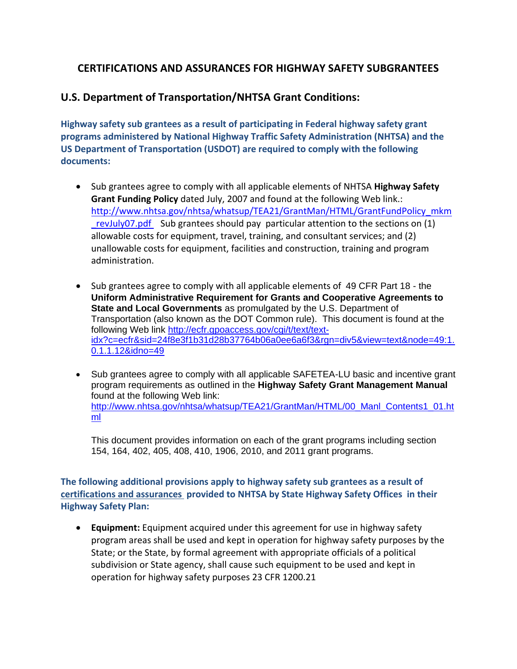## **CERTIFICATIONS AND ASSURANCES FOR HIGHWAY SAFETY SUBGRANTEES**

## **U.S. Department of Transportation/NHTSA Grant Conditions:**

**Highway safety sub grantees as a result of participating in Federal highway safety grant programs administered by National Highway Traffic Safety Administration (NHTSA) and the US Department of Transportation (USDOT) are required to comply with the following documents:**

- Sub grantees agree to comply with all applicable elements of NHTSA **Highway Safety Grant Funding Policy** dated July, 2007 and found at the following Web link.: http://www.nhtsa.gov/nhtsa/whatsup/TEA21/GrantMan/HTML/GrantFundPolicy\_mkm \_revJuly07.pdf Sub grantees should pay particular attention to the sections on (1) allowable costs for equipment, travel, training, and consultant services; and (2) unallowable costs for equipment, facilities and construction, training and program administration.
- Sub grantees agree to comply with all applicable elements of 49 CFR Part 18 the **Uniform Administrative Requirement for Grants and Cooperative Agreements to State and Local Governments** as promulgated by the U.S. Department of Transportation (also known as the DOT Common rule). This document is found at the following Web link [http://ecfr.gpoaccess.gov/cgi/t/text/text](http://ecfr.gpoaccess.gov/cgi/t/text/text-idx?c=ecfr&sid=24f8e3f1b31d28b37764b06a0ee6a6f3&rgn=div5&view=text&node=49:1.0.1.1.12&idno=49)[idx?c=ecfr&sid=24f8e3f1b31d28b37764b06a0ee6a6f3&rgn=div5&view=text&node=49:1.](http://ecfr.gpoaccess.gov/cgi/t/text/text-idx?c=ecfr&sid=24f8e3f1b31d28b37764b06a0ee6a6f3&rgn=div5&view=text&node=49:1.0.1.1.12&idno=49) [0.1.1.12&idno=49](http://ecfr.gpoaccess.gov/cgi/t/text/text-idx?c=ecfr&sid=24f8e3f1b31d28b37764b06a0ee6a6f3&rgn=div5&view=text&node=49:1.0.1.1.12&idno=49)
- Sub grantees agree to comply with all applicable SAFETEA-LU basic and incentive grant program requirements as outlined in the **Highway Safety Grant Management Manual**  found at the following Web link: [http://www.nhtsa.gov/nhtsa/whatsup/TEA21/GrantMan/HTML/00\\_Manl\\_Contents1\\_01.ht](http://www.nhtsa.gov/nhtsa/whatsup/TEA21/GrantMan/HTML/00_Manl_Contents1_01.html) [ml](http://www.nhtsa.gov/nhtsa/whatsup/TEA21/GrantMan/HTML/00_Manl_Contents1_01.html)

This document provides information on each of the grant programs including section 154, 164, 402, 405, 408, 410, 1906, 2010, and 2011 grant programs.

**The following additional provisions apply to highway safety sub grantees as a result of certifications and assurances provided to NHTSA by State Highway Safety Offices in their Highway Safety Plan:**

 **Equipment:** Equipment acquired under this agreement for use in highway safety program areas shall be used and kept in operation for highway safety purposes by the State; or the State, by formal agreement with appropriate officials of a political subdivision or State agency, shall cause such equipment to be used and kept in operation for highway safety purposes 23 CFR 1200.21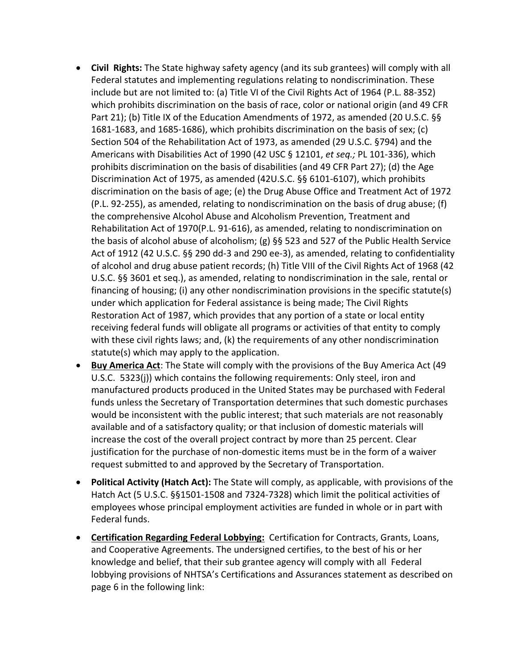- **Civil Rights:** The State highway safety agency (and its sub grantees) will comply with all Federal statutes and implementing regulations relating to nondiscrimination. These include but are not limited to: (a) Title VI of the Civil Rights Act of 1964 (P.L. 88-352) which prohibits discrimination on the basis of race, color or national origin (and 49 CFR Part 21); (b) Title IX of the Education Amendments of 1972, as amended (20 U.S.C. §§ 1681-1683, and 1685-1686), which prohibits discrimination on the basis of sex; (c) Section 504 of the Rehabilitation Act of 1973, as amended (29 U.S.C. §794) and the Americans with Disabilities Act of 1990 (42 USC § 12101, *et seq.;* PL 101-336), which prohibits discrimination on the basis of disabilities (and 49 CFR Part 27); (d) the Age Discrimination Act of 1975, as amended (42U.S.C. §§ 6101-6107), which prohibits discrimination on the basis of age; (e) the Drug Abuse Office and Treatment Act of 1972 (P.L. 92-255), as amended, relating to nondiscrimination on the basis of drug abuse; (f) the comprehensive Alcohol Abuse and Alcoholism Prevention, Treatment and Rehabilitation Act of 1970(P.L. 91-616), as amended, relating to nondiscrimination on the basis of alcohol abuse of alcoholism; (g) §§ 523 and 527 of the Public Health Service Act of 1912 (42 U.S.C. §§ 290 dd-3 and 290 ee-3), as amended, relating to confidentiality of alcohol and drug abuse patient records; (h) Title VIII of the Civil Rights Act of 1968 (42 U.S.C. §§ 3601 et seq.), as amended, relating to nondiscrimination in the sale, rental or financing of housing; (i) any other nondiscrimination provisions in the specific statute(s) under which application for Federal assistance is being made; The Civil Rights Restoration Act of 1987, which provides that any portion of a state or local entity receiving federal funds will obligate all programs or activities of that entity to comply with these civil rights laws; and, (k) the requirements of any other nondiscrimination statute(s) which may apply to the application.
- **Buy America Act**: The State will comply with the provisions of the Buy America Act (49 U.S.C. 5323(j)) which contains the following requirements: Only steel, iron and manufactured products produced in the United States may be purchased with Federal funds unless the Secretary of Transportation determines that such domestic purchases would be inconsistent with the public interest; that such materials are not reasonably available and of a satisfactory quality; or that inclusion of domestic materials will increase the cost of the overall project contract by more than 25 percent. Clear justification for the purchase of non-domestic items must be in the form of a waiver request submitted to and approved by the Secretary of Transportation.
- **Political Activity (Hatch Act):** The State will comply, as applicable, with provisions of the Hatch Act (5 U.S.C. §§1501-1508 and 7324-7328) which limit the political activities of employees whose principal employment activities are funded in whole or in part with Federal funds.
- **Certification Regarding Federal Lobbying:** Certification for Contracts, Grants, Loans, and Cooperative Agreements. The undersigned certifies, to the best of his or her knowledge and belief, that their sub grantee agency will comply with all Federal lobbying provisions of NHTSA's Certifications and Assurances statement as described on page 6 in the following link: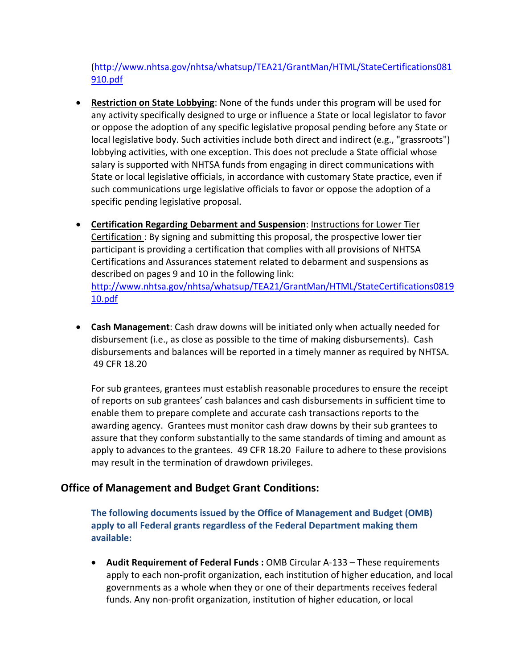[\(http://www.nhtsa.gov/nhtsa/whatsup/TEA21/GrantMan/HTML/StateCertifications081](http://www.nhtsa.gov/nhtsa/whatsup/TEA21/GrantMan/HTML/StateCertifications081910.pdf) [910.pdf](http://www.nhtsa.gov/nhtsa/whatsup/TEA21/GrantMan/HTML/StateCertifications081910.pdf)

- **Restriction on State Lobbying**: None of the funds under this program will be used for any activity specifically designed to urge or influence a State or local legislator to favor or oppose the adoption of any specific legislative proposal pending before any State or local legislative body. Such activities include both direct and indirect (e.g., "grassroots") lobbying activities, with one exception. This does not preclude a State official whose salary is supported with NHTSA funds from engaging in direct communications with State or local legislative officials, in accordance with customary State practice, even if such communications urge legislative officials to favor or oppose the adoption of a specific pending legislative proposal.
- **Certification Regarding Debarment and Suspension**: Instructions for Lower Tier Certification : By signing and submitting this proposal, the prospective lower tier participant is providing a certification that complies with all provisions of NHTSA Certifications and Assurances statement related to debarment and suspensions as described on pages 9 and 10 in the following link: [http://www.nhtsa.gov/nhtsa/whatsup/TEA21/GrantMan/HTML/StateCertifications0819](http://www.nhtsa.gov/nhtsa/whatsup/TEA21/GrantMan/HTML/StateCertifications081910.pdf) [10.pdf](http://www.nhtsa.gov/nhtsa/whatsup/TEA21/GrantMan/HTML/StateCertifications081910.pdf)
- **Cash Management**: Cash draw downs will be initiated only when actually needed for disbursement (i.e., as close as possible to the time of making disbursements). Cash disbursements and balances will be reported in a timely manner as required by NHTSA. 49 CFR 18.20

For sub grantees, grantees must establish reasonable procedures to ensure the receipt of reports on sub grantees' cash balances and cash disbursements in sufficient time to enable them to prepare complete and accurate cash transactions reports to the awarding agency. Grantees must monitor cash draw downs by their sub grantees to assure that they conform substantially to the same standards of timing and amount as apply to advances to the grantees. 49 CFR 18.20 Failure to adhere to these provisions may result in the termination of drawdown privileges.

## **Office of Management and Budget Grant Conditions:**

**The following documents issued by the Office of Management and Budget (OMB) apply to all Federal grants regardless of the Federal Department making them available:**

 **Audit Requirement of Federal Funds :** OMB Circular A-133 – These requirements apply to each non-profit organization, each institution of higher education, and local governments as a whole when they or one of their departments receives federal funds. Any non-profit organization, institution of higher education, or local